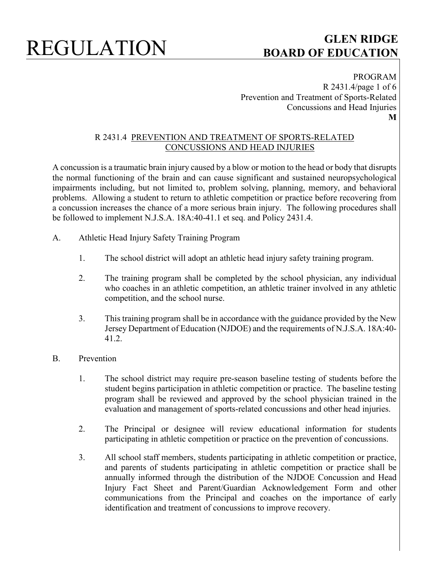PROGRAM R 2431.4/page 1 of 6 Prevention and Treatment of Sports-Related Concussions and Head Injuries **M**

### R 2431.4 PREVENTION AND TREATMENT OF SPORTS-RELATED CONCUSSIONS AND HEAD INJURIES

A concussion is a traumatic brain injury caused by a blow or motion to the head or body that disrupts the normal functioning of the brain and can cause significant and sustained neuropsychological impairments including, but not limited to, problem solving, planning, memory, and behavioral problems. Allowing a student to return to athletic competition or practice before recovering from a concussion increases the chance of a more serious brain injury. The following procedures shall be followed to implement N.J.S.A. 18A:40-41.1 et seq. and Policy 2431.4.

- A. Athletic Head Injury Safety Training Program
	- 1. The school district will adopt an athletic head injury safety training program.
	- 2. The training program shall be completed by the school physician, any individual who coaches in an athletic competition, an athletic trainer involved in any athletic competition, and the school nurse.
	- 3. This training program shall be in accordance with the guidance provided by the New Jersey Department of Education (NJDOE) and the requirements of N.J.S.A. 18A:40- 41.2.
- B. Prevention
	- 1. The school district may require pre-season baseline testing of students before the student begins participation in athletic competition or practice. The baseline testing program shall be reviewed and approved by the school physician trained in the evaluation and management of sports-related concussions and other head injuries.
	- 2. The Principal or designee will review educational information for students participating in athletic competition or practice on the prevention of concussions.
	- 3. All school staff members, students participating in athletic competition or practice, and parents of students participating in athletic competition or practice shall be annually informed through the distribution of the NJDOE Concussion and Head Injury Fact Sheet and Parent/Guardian Acknowledgement Form and other communications from the Principal and coaches on the importance of early identification and treatment of concussions to improve recovery.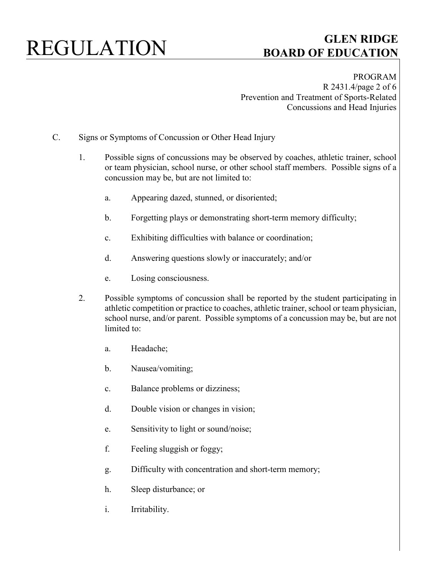PROGRAM R 2431.4/page 2 of 6 Prevention and Treatment of Sports-Related Concussions and Head Injuries

- C. Signs or Symptoms of Concussion or Other Head Injury
	- 1. Possible signs of concussions may be observed by coaches, athletic trainer, school or team physician, school nurse, or other school staff members. Possible signs of a concussion may be, but are not limited to:
		- a. Appearing dazed, stunned, or disoriented;
		- b. Forgetting plays or demonstrating short-term memory difficulty;
		- c. Exhibiting difficulties with balance or coordination;
		- d. Answering questions slowly or inaccurately; and/or
		- e. Losing consciousness.
	- 2. Possible symptoms of concussion shall be reported by the student participating in athletic competition or practice to coaches, athletic trainer, school or team physician, school nurse, and/or parent. Possible symptoms of a concussion may be, but are not limited to:
		- a. Headache;
		- b. Nausea/vomiting;
		- c. Balance problems or dizziness;
		- d. Double vision or changes in vision;
		- e. Sensitivity to light or sound/noise;
		- f. Feeling sluggish or foggy;
		- g. Difficulty with concentration and short-term memory;
		- h. Sleep disturbance; or
		- i. Irritability.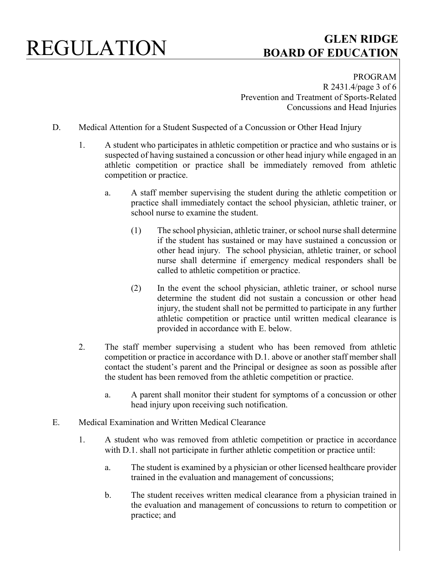PROGRAM R 2431.4/page 3 of 6 Prevention and Treatment of Sports-Related Concussions and Head Injuries

- D. Medical Attention for a Student Suspected of a Concussion or Other Head Injury
	- 1. A student who participates in athletic competition or practice and who sustains or is suspected of having sustained a concussion or other head injury while engaged in an athletic competition or practice shall be immediately removed from athletic competition or practice.
		- a. A staff member supervising the student during the athletic competition or practice shall immediately contact the school physician, athletic trainer, or school nurse to examine the student.
			- (1) The school physician, athletic trainer, or school nurse shall determine if the student has sustained or may have sustained a concussion or other head injury. The school physician, athletic trainer, or school nurse shall determine if emergency medical responders shall be called to athletic competition or practice.
			- (2) In the event the school physician, athletic trainer, or school nurse determine the student did not sustain a concussion or other head injury, the student shall not be permitted to participate in any further athletic competition or practice until written medical clearance is provided in accordance with E. below.
	- 2. The staff member supervising a student who has been removed from athletic competition or practice in accordance with D.1. above or another staff member shall contact the student's parent and the Principal or designee as soon as possible after the student has been removed from the athletic competition or practice.
		- a. A parent shall monitor their student for symptoms of a concussion or other head injury upon receiving such notification.
- E. Medical Examination and Written Medical Clearance
	- 1. A student who was removed from athletic competition or practice in accordance with D.1. shall not participate in further athletic competition or practice until:
		- a. The student is examined by a physician or other licensed healthcare provider trained in the evaluation and management of concussions;
		- b. The student receives written medical clearance from a physician trained in the evaluation and management of concussions to return to competition or practice; and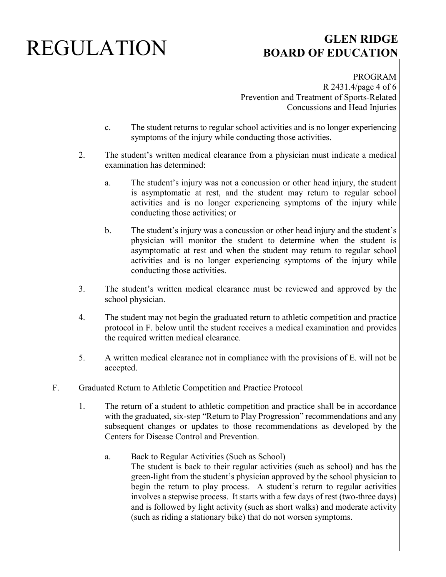# REGULATION **GLEN RIDGE**

# **BOARD OF EDUCATION**

PROGRAM R 2431.4/page 4 of 6 Prevention and Treatment of Sports-Related Concussions and Head Injuries

- c. The student returns to regular school activities and is no longer experiencing symptoms of the injury while conducting those activities.
- 2. The student's written medical clearance from a physician must indicate a medical examination has determined:
	- a. The student's injury was not a concussion or other head injury, the student is asymptomatic at rest, and the student may return to regular school activities and is no longer experiencing symptoms of the injury while conducting those activities; or
	- b. The student's injury was a concussion or other head injury and the student's physician will monitor the student to determine when the student is asymptomatic at rest and when the student may return to regular school activities and is no longer experiencing symptoms of the injury while conducting those activities.
- 3. The student's written medical clearance must be reviewed and approved by the school physician.
- 4. The student may not begin the graduated return to athletic competition and practice protocol in F. below until the student receives a medical examination and provides the required written medical clearance.
- 5. A written medical clearance not in compliance with the provisions of E. will not be accepted.
- F. Graduated Return to Athletic Competition and Practice Protocol
	- 1. The return of a student to athletic competition and practice shall be in accordance with the graduated, six-step "Return to Play Progression" recommendations and any subsequent changes or updates to those recommendations as developed by the Centers for Disease Control and Prevention.
		- a. Back to Regular Activities (Such as School) The student is back to their regular activities (such as school) and has the green-light from the student's physician approved by the school physician to begin the return to play process. A student's return to regular activities involves a stepwise process. It starts with a few days of rest (two-three days) and is followed by light activity (such as short walks) and moderate activity (such as riding a stationary bike) that do not worsen symptoms.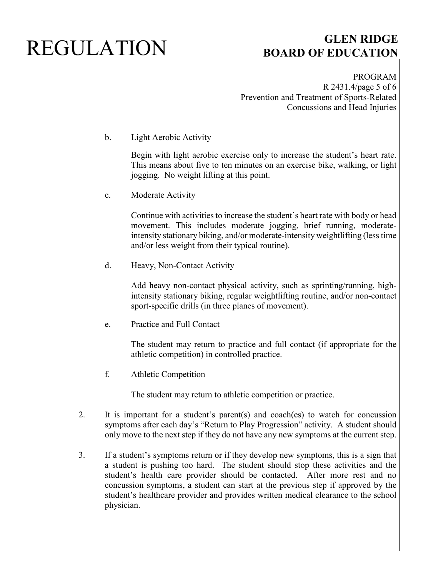PROGRAM R 2431.4/page 5 of 6 Prevention and Treatment of Sports-Related Concussions and Head Injuries

b. Light Aerobic Activity

Begin with light aerobic exercise only to increase the student's heart rate. This means about five to ten minutes on an exercise bike, walking, or light jogging. No weight lifting at this point.

c. Moderate Activity

Continue with activities to increase the student's heart rate with body or head movement. This includes moderate jogging, brief running, moderateintensity stationary biking, and/or moderate-intensity weightlifting (less time and/or less weight from their typical routine).

d. Heavy, Non-Contact Activity

Add heavy non-contact physical activity, such as sprinting/running, highintensity stationary biking, regular weightlifting routine, and/or non-contact sport-specific drills (in three planes of movement).

e. Practice and Full Contact

The student may return to practice and full contact (if appropriate for the athletic competition) in controlled practice.

f. Athletic Competition

The student may return to athletic competition or practice.

- 2. It is important for a student's parent(s) and coach(es) to watch for concussion symptoms after each day's "Return to Play Progression" activity. A student should only move to the next step if they do not have any new symptoms at the current step.
- 3. If a student's symptoms return or if they develop new symptoms, this is a sign that a student is pushing too hard. The student should stop these activities and the student's health care provider should be contacted. After more rest and no concussion symptoms, a student can start at the previous step if approved by the student's healthcare provider and provides written medical clearance to the school physician.